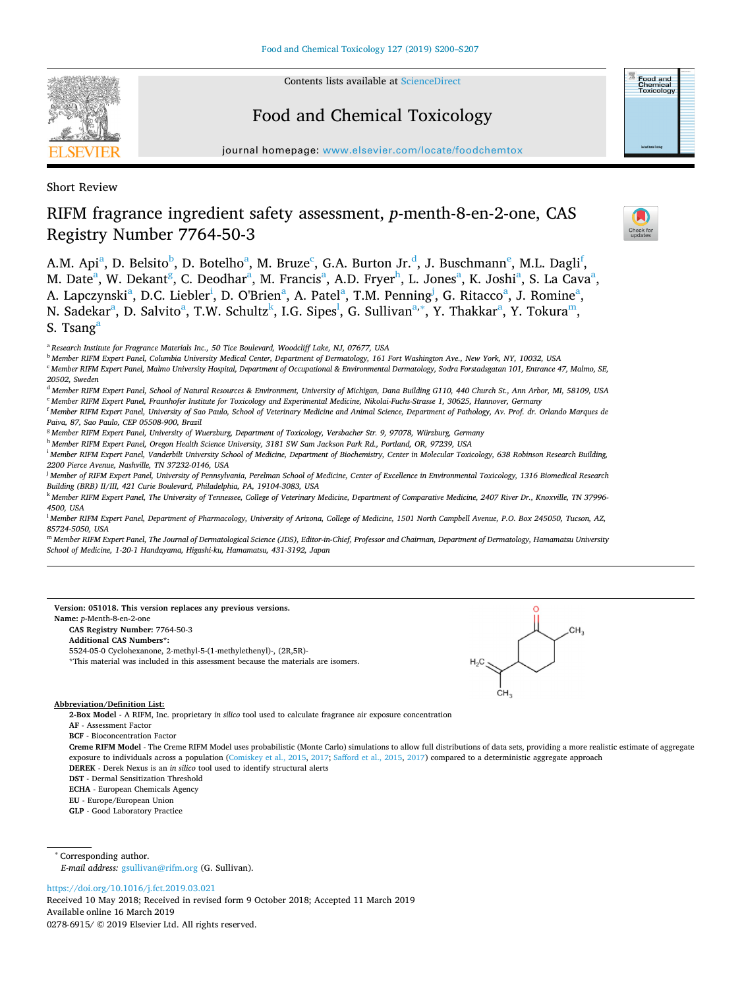

Contents lists available at [ScienceDirect](http://www.sciencedirect.com/science/journal/02786915)

# Food and Chemical Toxicology

journal homepage: [www.elsevier.com/locate/foodchemtox](https://www.elsevier.com/locate/foodchemtox)

Short Review

# RIFM fragrance ingredient safety assessment, *p*-menth-8-en-2-one, CAS Registry Number 7764-50-3



Food and<br>Chemical<br>Toxicology

A.M. Api<sup>[a](#page-0-0)</sup>, D. Belsito<sup>b</sup>, D. Botelho<sup>a</sup>, M. Bruze<sup>[c](#page-0-2)</sup>, G.A. Burton Jr.<sup>d</sup>, J. Buschmann<sup>[e](#page-0-4)</sup>, M.L. Dagli<sup>f</sup>, M. D[a](#page-0-0)te<sup>a</sup>, W. Dekant<sup>[g](#page-0-6)</sup>, C. Deodhar<sup>a</sup>, M. Francis<sup>a</sup>, A.D. Fryer<sup>h</sup>, L. Jones<sup>a</sup>, K. Joshi<sup>a</sup>, S. La Cava<sup>a</sup>, A. L[a](#page-0-0)pczynsk[i](#page-0-8)<sup>a</sup>, D.C. Liebler<sup>i</sup>, D. O'Brien<sup>a</sup>, A. Patel<sup>a</sup>, T.M. Penning<sup>[j](#page-0-9)</sup>, G. Ritacco<sup>a</sup>, J. Romine<sup>a</sup>, N. S[a](#page-0-0)dekar<sup>a</sup>, D. Salvito<sup>a</sup>, T.W. Schultz<sup>k</sup>, I.G. Sipes<sup>l</sup>, G. Sullivan<sup>a,</sup>\*, Y. Thakkar<sup>a</sup>, Y. Tokura<sup>m</sup>, S. Tsang<sup>a</sup>

<span id="page-0-0"></span><sup>a</sup> *Research Institute for Fragrance Materials Inc., 50 Tice Boulevard, Woodcliff Lake, NJ, 07677, USA*

<span id="page-0-1"></span><sup>b</sup> *Member RIFM Expert Panel, Columbia University Medical Center, Department of Dermatology, 161 Fort Washington Ave., New York, NY, 10032, USA*

<span id="page-0-2"></span><sup>c</sup> *Member RIFM Expert Panel, Malmo University Hospital, Department of Occupational & Environmental Dermatology, Sodra Forstadsgatan 101, Entrance 47, Malmo, SE, 20502, Sweden*

<span id="page-0-5"></span>f *Member RIFM Expert Panel, University of Sao Paulo, School of Veterinary Medicine and Animal Science, Department of Pathology, Av. Prof. dr. Orlando Marques de Paiva, 87, Sao Paulo, CEP 05508-900, Brazil*

<span id="page-0-6"></span><sup>g</sup> *Member RIFM Expert Panel, University of Wuerzburg, Department of Toxicology, Versbacher Str. 9, 97078, Würzburg, Germany*

<span id="page-0-7"></span><sup>h</sup> *Member RIFM Expert Panel, Oregon Health Science University, 3181 SW Sam Jackson Park Rd., Portland, OR, 97239, USA*

<span id="page-0-8"></span>i *Member RIFM Expert Panel, Vanderbilt University School of Medicine, Department of Biochemistry, Center in Molecular Toxicology, 638 Robinson Research Building, 2200 Pierce Avenue, Nashville, TN 37232-0146, USA*

<span id="page-0-9"></span>j *Member of RIFM Expert Panel, University of Pennsylvania, Perelman School of Medicine, Center of Excellence in Environmental Toxicology, 1316 Biomedical Research Building (BRB) II/III, 421 Curie Boulevard, Philadelphia, PA, 19104-3083, USA*

<span id="page-0-10"></span><sup>k</sup> *Member RIFM Expert Panel, The University of Tennessee, College of Veterinary Medicine, Department of Comparative Medicine, 2407 River Dr., Knoxville, TN 37996- 4500, USA*

<span id="page-0-11"></span>l *Member RIFM Expert Panel, Department of Pharmacology, University of Arizona, College of Medicine, 1501 North Campbell Avenue, P.O. Box 245050, Tucson, AZ, 85724-5050, USA*

<span id="page-0-13"></span><sup>m</sup> *Member RIFM Expert Panel, The Journal of Dermatological Science (JDS), Editor-in-Chief, Professor and Chairman, Department of Dermatology, Hamamatsu University School of Medicine, 1-20-1 Handayama, Higashi-ku, Hamamatsu, 431-3192, Japan*

#### **Version: 051018. This version replaces any previous versions. Name:** *p-*Menth-8-en-2-one

**CAS Registry Number:** 7764-50-3 **Additional CAS Numbers\*:** 5524-05-0 Cyclohexanone, 2-methyl-5-(1-methylethenyl)-, (2R,5R)- \*This material was included in this assessment because the materials are isomers.



#### **Abbreviation/Definition List:**

**2-Box Model** - A RIFM, Inc. proprietary *in silico* tool used to calculate fragrance air exposure concentration

**AF** - Assessment Factor **BCF** - Bioconcentration Factor

**Creme RIFM Model** - The Creme RIFM Model uses probabilistic (Monte Carlo) simulations to allow full distributions of data sets, providing a more realistic estimate of aggregate exposure to individuals across a population ([Comiskey et al., 2015,](#page-7-0) [2017](#page-7-1); [Safford et al., 2015,](#page-7-2) [2017](#page-7-3)) compared to a deterministic aggregate approach **DEREK** - Derek Nexus is an *in silico* tool used to identify structural alerts

**DST** - Dermal Sensitization Threshold

**ECHA** - European Chemicals Agency

**EU** - Europe/European Union

**GLP** - Good Laboratory Practice

<span id="page-0-12"></span><sup>∗</sup> Corresponding author. *E-mail address:* [gsullivan@rifm.org](mailto:gsullivan@rifm.org) (G. Sullivan).

<https://doi.org/10.1016/j.fct.2019.03.021> Received 10 May 2018; Received in revised form 9 October 2018; Accepted 11 March 2019 Available online 16 March 2019 0278-6915/ © 2019 Elsevier Ltd. All rights reserved.

<span id="page-0-4"></span><span id="page-0-3"></span><sup>d</sup> *Member RIFM Expert Panel, School of Natural Resources & Environment, University of Michigan, Dana Building G110, 440 Church St., Ann Arbor, MI, 58109, USA* <sup>e</sup> *Member RIFM Expert Panel, Fraunhofer Institute for Toxicology and Experimental Medicine, Nikolai-Fuchs-Strasse 1, 30625, Hannover, Germany*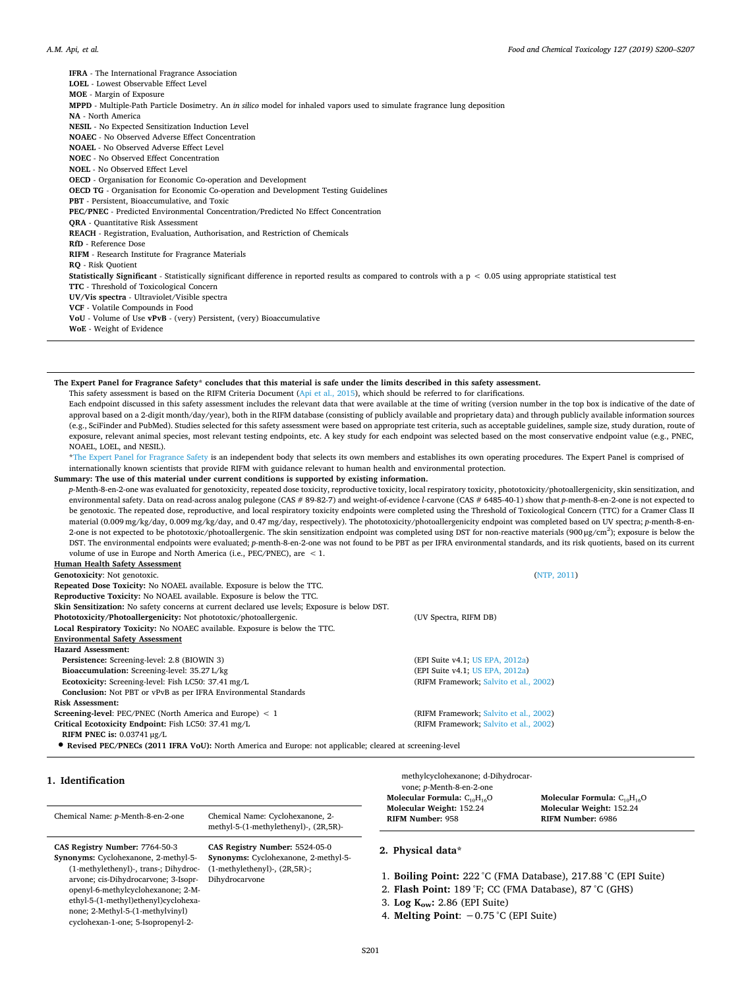| <b>IFRA</b> - The International Fragrance Association                                                                                                                    |
|--------------------------------------------------------------------------------------------------------------------------------------------------------------------------|
| LOEL - Lowest Observable Effect Level                                                                                                                                    |
| <b>MOE</b> - Margin of Exposure                                                                                                                                          |
| MPPD - Multiple-Path Particle Dosimetry. An in silico model for inhaled vapors used to simulate fragrance lung deposition                                                |
| NA - North America                                                                                                                                                       |
| NESIL - No Expected Sensitization Induction Level                                                                                                                        |
| NOAEC - No Observed Adverse Effect Concentration                                                                                                                         |
| <b>NOAEL</b> - No Observed Adverse Effect Level                                                                                                                          |
| <b>NOEC</b> - No Observed Effect Concentration                                                                                                                           |
| <b>NOEL</b> - No Observed Effect Level                                                                                                                                   |
| <b>OECD</b> - Organisation for Economic Co-operation and Development                                                                                                     |
| <b>OECD TG</b> - Organisation for Economic Co-operation and Development Testing Guidelines                                                                               |
| PBT - Persistent, Bioaccumulative, and Toxic                                                                                                                             |
| PEC/PNEC - Predicted Environmental Concentration/Predicted No Effect Concentration                                                                                       |
| <b>ORA</b> - Quantitative Risk Assessment                                                                                                                                |
| REACH - Registration, Evaluation, Authorisation, and Restriction of Chemicals                                                                                            |
| RfD - Reference Dose                                                                                                                                                     |
| RIFM - Research Institute for Fragrance Materials                                                                                                                        |
| <b>RO</b> - Risk Quotient                                                                                                                                                |
| <b>Statistically Significant</b> - Statistically significant difference in reported results as compared to controls with $a p < 0.05$ using appropriate statistical test |
| TTC - Threshold of Toxicological Concern                                                                                                                                 |
| UV/Vis spectra - Ultraviolet/Visible spectra                                                                                                                             |
| VCF - Volatile Compounds in Food                                                                                                                                         |
| VoU - Volume of Use vPvB - (very) Persistent, (very) Bioaccumulative                                                                                                     |
| WoE - Weight of Evidence                                                                                                                                                 |
|                                                                                                                                                                          |

#### **The Expert Panel for Fragrance Safety\* concludes that this material is safe under the limits described in this safety assessment.**

This safety assessment is based on the RIFM Criteria Document ([Api et al., 2015](#page-7-4)), which should be referred to for clarifications.

Each endpoint discussed in this safety assessment includes the relevant data that were available at the time of writing (version number in the top box is indicative of the date of approval based on a 2-digit month/day/year), both in the RIFM database (consisting of publicly available and proprietary data) and through publicly available information sources (e.g., SciFinder and PubMed). Studies selected for this safety assessment were based on appropriate test criteria, such as acceptable guidelines, sample size, study duration, route of exposure, relevant animal species, most relevant testing endpoints, etc. A key study for each endpoint was selected based on the most conservative endpoint value (e.g., PNEC, NOAEL, LOEL, and NESIL).

\*[The Expert Panel for Fragrance Safety](http://fragrancesafetypanel.org/) is an independent body that selects its own members and establishes its own operating procedures. The Expert Panel is comprised of internationally known scientists that provide RIFM with guidance relevant to human health and environmental protection.

## **Summary: The use of this material under current conditions is supported by existing information.**

*p-*Menth-8-en-2-one was evaluated for genotoxicity, repeated dose toxicity, reproductive toxicity, local respiratory toxicity, phototoxicity/photoallergenicity, skin sensitization, and environmental safety. Data on read-across analog pulegone (CAS # 89-82-7) and weight-of-evidence *l-*carvone (CAS # 6485-40-1) show that *p-*menth-8-en-2-one is not expected to be genotoxic. The repeated dose, reproductive, and local respiratory toxicity endpoints were completed using the Threshold of Toxicological Concern (TTC) for a Cramer Class II material (0.009 mg/kg/day, 0.009 mg/kg/day, and 0.47 mg/day, respectively). The phototoxicity/photoallergenicity endpoint was completed based on UV spectra; *p*-menth-8-en-2-one is not expected to be phototoxic/photoallergenic. The skin sensitization endpoint was completed using DST for non-reactive materials (900 µg/cm<sup>2</sup>); exposure is below the DST. The environmental endpoints were evaluated; *p-*menth-8-en-2-one was not found to be PBT as per IFRA environmental standards, and its risk quotients, based on its current volume of use in Europe and North America (i.e., PEC/PNEC), are < 1.

# **Human Health Safety Assessment**

| <b>Genotoxicity:</b> Not genotoxic.                                                           | (NTP, 2011)                            |
|-----------------------------------------------------------------------------------------------|----------------------------------------|
| Repeated Dose Toxicity: No NOAEL available. Exposure is below the TTC.                        |                                        |
| Reproductive Toxicity: No NOAEL available. Exposure is below the TTC.                         |                                        |
| Skin Sensitization: No safety concerns at current declared use levels; Exposure is below DST. |                                        |
| Phototoxicity/Photoallergenicity: Not phototoxic/photoallergenic.                             | (UV Spectra, RIFM DB)                  |
| Local Respiratory Toxicity: No NOAEC available. Exposure is below the TTC.                    |                                        |
| <b>Environmental Safety Assessment</b>                                                        |                                        |
| <b>Hazard Assessment:</b>                                                                     |                                        |
| Persistence: Screening-level: 2.8 (BIOWIN 3)                                                  | (EPI Suite v4.1; US EPA, 2012a)        |
| Bioaccumulation: Screening-level: 35.27 L/kg                                                  | (EPI Suite v4.1; US EPA, 2012a)        |
| Ecotoxicity: Screening-level: Fish LC50: 37.41 mg/L                                           | (RIFM Framework; Salvito et al., 2002) |
| Conclusion: Not PBT or vPvB as per IFRA Environmental Standards                               |                                        |
| <b>Risk Assessment:</b>                                                                       |                                        |
| Screening-level: PEC/PNEC (North America and Europe) < 1                                      | (RIFM Framework; Salvito et al., 2002) |
| Critical Ecotoxicity Endpoint: Fish LC50: 37.41 mg/L                                          | (RIFM Framework; Salvito et al., 2002) |
| RIFM PNEC is: $0.03741 \mu g/L$                                                               |                                        |
|                                                                                               |                                        |

• **Revised PEC/PNECs (2011 IFRA VoU):** North America and Europe: not applicable; cleared at screening-level

# <span id="page-1-0"></span>**1. Identification**

|                                                                                                                                                                                                                                                                                                                 |                                                                                                                                | vone; <i>p</i> -Menth-8-en-2-one<br>Molecular Formula: $C_{10}H_{16}O$                                                                                                                                                          | Molecular Formula: $C_{10}H_{16}O$            |  |
|-----------------------------------------------------------------------------------------------------------------------------------------------------------------------------------------------------------------------------------------------------------------------------------------------------------------|--------------------------------------------------------------------------------------------------------------------------------|---------------------------------------------------------------------------------------------------------------------------------------------------------------------------------------------------------------------------------|-----------------------------------------------|--|
| Chemical Name: p-Menth-8-en-2-one                                                                                                                                                                                                                                                                               | Chemical Name: Cyclohexanone, 2-<br>methyl-5-(1-methylethenyl)-, (2R,5R)-                                                      | Molecular Weight: 152.24<br>RIFM Number: 958                                                                                                                                                                                    | Molecular Weight: 152.24<br>RIFM Number: 6986 |  |
| CAS Registry Number: 7764-50-3<br>Synonyms: Cyclohexanone, 2-methyl-5-<br>(1-methylethenyl)-, trans-; Dihydroc-<br>arvone; cis-Dihydrocarvone; 3-Isopr-<br>openyl-6-methylcyclohexanone; 2-M-<br>ethyl-5-(1-methyl)ethenyl)cyclohexa-<br>none; 2-Methyl-5-(1-methylvinyl)<br>cyclohexan-1-one; 5-Isopropenyl-2- | CAS Registry Number: 5524-05-0<br>Synonyms: Cyclohexanone, 2-methyl-5-<br>$(1-methyletheny)$ -, $(2R,5R)$ -;<br>Dihydrocarvone | 2. Physical data*<br>1. Boiling Point: 222 °C (FMA Database), 217.88 °C (EPI Suite)<br>2. Flash Point: 189 °F; CC (FMA Database), 87 °C (GHS)<br>3. Log $K_{ow}$ : 2.86 (EPI Suite)<br>4. Melting Point: $-0.75$ °C (EPI Suite) |                                               |  |
|                                                                                                                                                                                                                                                                                                                 |                                                                                                                                |                                                                                                                                                                                                                                 |                                               |  |

methylcyclohexanone; d-Dihydrocar-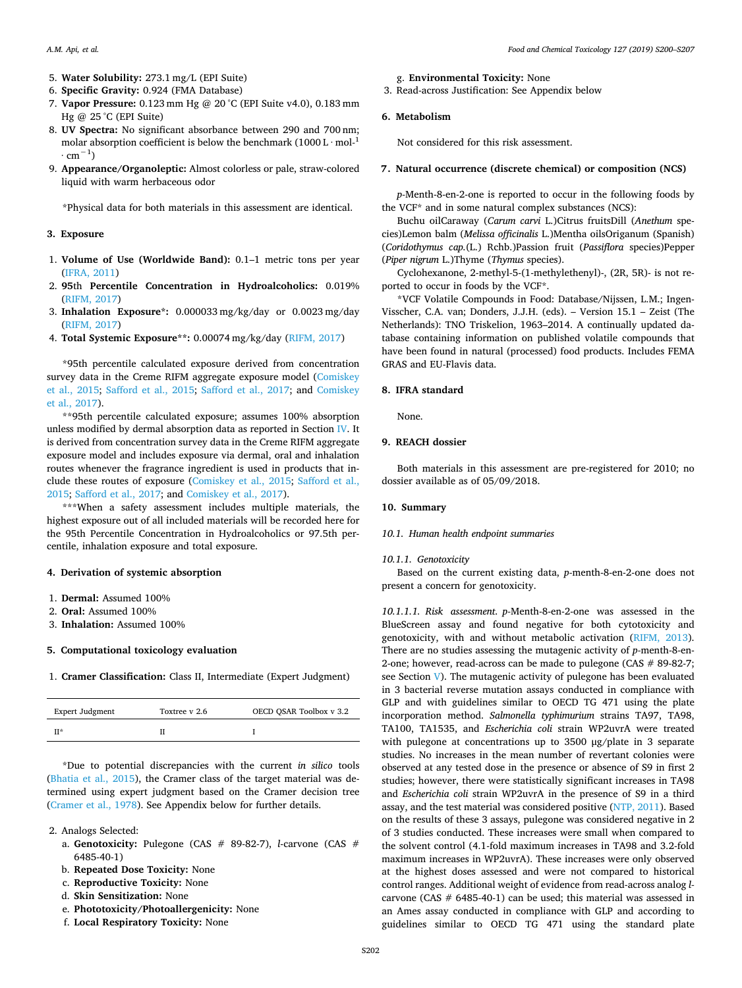- 5. **Water Solubility:** 273.1 mg/L (EPI Suite)
- 6. **Specific Gravity:** 0.924 (FMA Database)
- 7. **Vapor Pressure:** 0.123 mm Hg @ 20 °C (EPI Suite v4.0), 0.183 mm Hg @ 25 °C (EPI Suite)
- 8. **UV Spectra:** No significant absorbance between 290 and 700 nm; molar absorption coefficient is below the benchmark (1000 L ∙ mol*-*1  $\cdot$  cm<sup>-1</sup>)
- 9. **Appearance/Organoleptic:** Almost colorless or pale, straw-colored liquid with warm herbaceous odor

\*Physical data for both materials in this assessment are identical.

# **3. Exposure**

- 1. **Volume of Use (Worldwide Band):** 0.1–1 metric tons per year [\(IFRA, 2011\)](#page-7-8)
- 2. **95**th **Percentile Concentration in Hydroalcoholics:** 0.019% [\(RIFM, 2017](#page-7-9))
- 3. **Inhalation Exposure\*:** 0.000033 mg/kg/day or 0.0023 mg/day [\(RIFM, 2017](#page-7-9))
- 4. **Total Systemic Exposure\*\*:** 0.00074 mg/kg/day ([RIFM, 2017\)](#page-7-9)

\*95th percentile calculated exposure derived from concentration survey data in the Creme RIFM aggregate exposure model ([Comiskey](#page-7-0) [et al., 2015;](#page-7-0) [Safford et al., 2015](#page-7-2); [Safford et al., 2017;](#page-7-3) and [Comiskey](#page-7-1) [et al., 2017](#page-7-1)).

\*\*95th percentile calculated exposure; assumes 100% absorption unless modified by dermal absorption data as reported in Section [IV.](#page-2-0) It is derived from concentration survey data in the Creme RIFM aggregate exposure model and includes exposure via dermal, oral and inhalation routes whenever the fragrance ingredient is used in products that include these routes of exposure [\(Comiskey et al., 2015;](#page-7-0) [Safford et al.,](#page-7-2) [2015;](#page-7-2) [Safford et al., 2017](#page-7-3); and [Comiskey et al., 2017](#page-7-1)).

\*\*\*When a safety assessment includes multiple materials, the highest exposure out of all included materials will be recorded here for the 95th Percentile Concentration in Hydroalcoholics or 97.5th percentile, inhalation exposure and total exposure.

# **4. Derivation of systemic absorption**

- 1. **Dermal:** Assumed 100%
- 2. **Oral:** Assumed 100%
- 3. **Inhalation:** Assumed 100%

# <span id="page-2-0"></span>**5. Computational toxicology evaluation**

1. **Cramer Classification:** Class II, Intermediate (Expert Judgment)

| Expert Judgment | Toxtree v 2.6 | OECD QSAR Toolbox v 3.2 |
|-----------------|---------------|-------------------------|
| $II*$           |               |                         |

\*Due to potential discrepancies with the current *in silico* tools ([Bhatia et al., 2015](#page-7-10)), the Cramer class of the target material was determined using expert judgment based on the Cramer decision tree ([Cramer et al., 1978](#page-7-11)). See Appendix below for further details.

- 2. Analogs Selected:
	- a. **Genotoxicity:** Pulegone (CAS # 89-82-7), *l*-carvone (CAS # 6485-40-1)
	- b. **Repeated Dose Toxicity:** None
	- c. **Reproductive Toxicity:** None
	- d. **Skin Sensitization:** None
	- e. **Phototoxicity/Photoallergenicity:** None
	- f. **Local Respiratory Toxicity:** None

# g. **Environmental Toxicity:** None

3. Read-across Justification: See Appendix below

# <span id="page-2-1"></span>**6. Metabolism**

Not considered for this risk assessment.

## **7. Natural occurrence (discrete chemical) or composition (NCS)**

*p-*Menth-8-en-2-one is reported to occur in the following foods by the VCF\* and in some natural complex substances (NCS):

Buchu oilCaraway (*Carum carvi* L.)Citrus fruitsDill (*Anethum* species)Lemon balm (*Melissa officinalis* L.)Mentha oilsOriganum (Spanish) (*Coridothymus cap.*(L.) Rchb.)Passion fruit (*Passiflora* species)Pepper (*Piper nigrum* L.)Thyme (*Thymus* species).

Cyclohexanone, 2-methyl*-*5-(1-methylethenyl)-, (2R, 5R)- is not reported to occur in foods by the VCF\*.

\*VCF Volatile Compounds in Food: Database/Nijssen, L.M.; Ingen-Visscher, C.A. van; Donders, J.J.H. (eds). – Version 15.1 – Zeist (The Netherlands): TNO Triskelion, 1963–2014. A continually updated database containing information on published volatile compounds that have been found in natural (processed) food products. Includes FEMA GRAS and EU-Flavis data.

## **8. IFRA standard**

None.

# **9. REACH dossier**

Both materials in this assessment are pre-registered for 2010; no dossier available as of 05/09/2018.

## **10. Summary**

## *10.1. Human health endpoint summaries*

## *10.1.1. Genotoxicity*

Based on the current existing data, *p-*menth-8-en-2-one does not present a concern for genotoxicity.

*10.1.1.1. Risk assessment*. *p-*Menth-8-en-2-one was assessed in the BlueScreen assay and found negative for both cytotoxicity and genotoxicity, with and without metabolic activation ([RIFM, 2013](#page-7-12)). There are no studies assessing the mutagenic activity of *p-*menth-8-en-2-one; however, read-across can be made to pulegone (CAS # 89-82-7; see Section [V\)](#page-2-1). The mutagenic activity of pulegone has been evaluated in 3 bacterial reverse mutation assays conducted in compliance with GLP and with guidelines similar to OECD TG 471 using the plate incorporation method. *Salmonella typhimurium* strains TA97, TA98, TA100, TA1535, and *Escherichia coli* strain WP2uvrA were treated with pulegone at concentrations up to 3500 μg/plate in 3 separate studies. No increases in the mean number of revertant colonies were observed at any tested dose in the presence or absence of S9 in first 2 studies; however, there were statistically significant increases in TA98 and *Escherichia coli* strain WP2uvrA in the presence of S9 in a third assay, and the test material was considered positive [\(NTP, 2011\)](#page-7-5). Based on the results of these 3 assays, pulegone was considered negative in 2 of 3 studies conducted. These increases were small when compared to the solvent control (4.1-fold maximum increases in TA98 and 3.2-fold maximum increases in WP2uvrA). These increases were only observed at the highest doses assessed and were not compared to historical control ranges. Additional weight of evidence from read-across analog *l*carvone (CAS # 6485-40-1) can be used; this material was assessed in an Ames assay conducted in compliance with GLP and according to guidelines similar to OECD TG 471 using the standard plate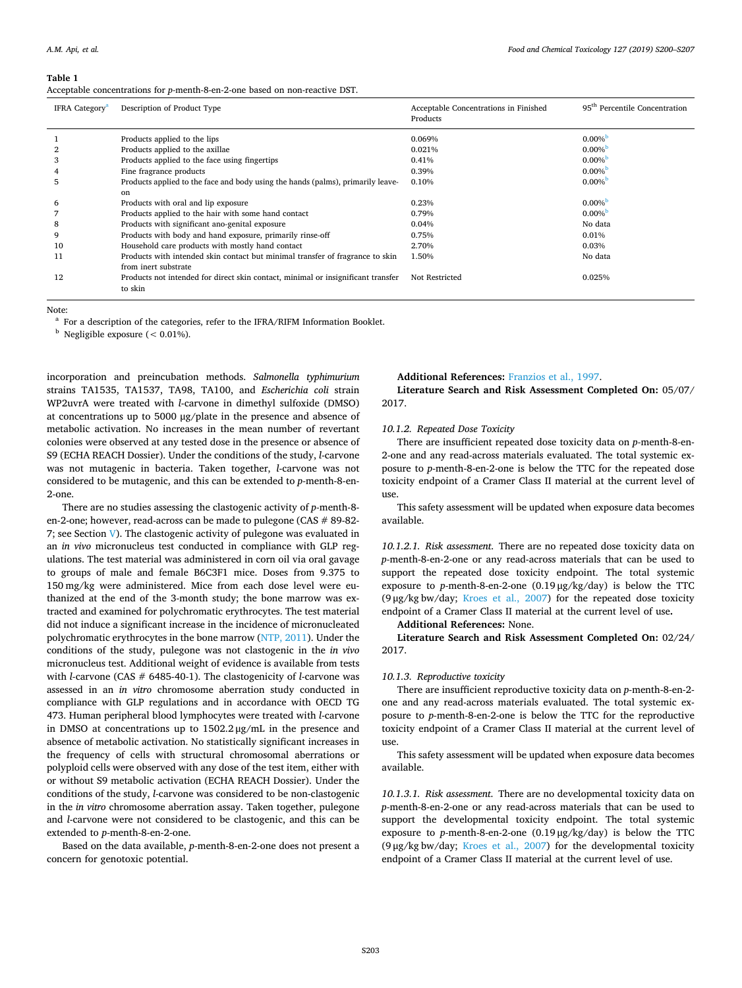#### <span id="page-3-2"></span>**Table 1**

Acceptable concentrations for *p-*menth-8-en-2-one based on non-reactive DST.

| <b>IFRA</b> Category <sup>a</sup> | Description of Product Type                                                      | Acceptable Concentrations in Finished | 95 <sup>th</sup> Percentile Concentration |
|-----------------------------------|----------------------------------------------------------------------------------|---------------------------------------|-------------------------------------------|
|                                   |                                                                                  | Products                              |                                           |
|                                   | Products applied to the lips                                                     | 0.069%                                | $0.00\%$                                  |
|                                   | Products applied to the axillae                                                  | 0.021%                                | $0.00\%$                                  |
| 3                                 | Products applied to the face using fingertips                                    | 0.41%                                 | $0.00\%$                                  |
|                                   | Fine fragrance products                                                          | 0.39%                                 | $0.00\%$                                  |
| ь                                 | Products applied to the face and body using the hands (palms), primarily leave-  | 0.10%                                 | $0.00\%$                                  |
|                                   | <sub>on</sub>                                                                    |                                       |                                           |
| 6                                 | Products with oral and lip exposure                                              | 0.23%                                 | $0.00\%$                                  |
|                                   | Products applied to the hair with some hand contact                              | 0.79%                                 | $0.00\%$                                  |
| 8                                 | Products with significant ano-genital exposure                                   | 0.04%                                 | No data                                   |
| 9                                 | Products with body and hand exposure, primarily rinse-off                        | 0.75%                                 | 0.01%                                     |
| 10                                | Household care products with mostly hand contact                                 | 2.70%                                 | 0.03%                                     |
| 11                                | Products with intended skin contact but minimal transfer of fragrance to skin    | 1.50%                                 | No data                                   |
|                                   | from inert substrate                                                             |                                       |                                           |
| 12                                | Products not intended for direct skin contact, minimal or insignificant transfer | Not Restricted                        | 0.025%                                    |
|                                   | to skin                                                                          |                                       |                                           |

Note:

<span id="page-3-0"></span>For a description of the categories, refer to the IFRA/RIFM Information Booklet.

<span id="page-3-1"></span> $<sup>b</sup>$  Negligible exposure (  $< 0.01\%$ ).</sup>

incorporation and preincubation methods. *Salmonella typhimurium* strains TA1535, TA1537, TA98, TA100, and *Escherichia coli* strain WP2uvrA were treated with *l*-carvone in dimethyl sulfoxide (DMSO) at concentrations up to 5000 μg/plate in the presence and absence of metabolic activation. No increases in the mean number of revertant colonies were observed at any tested dose in the presence or absence of S9 (ECHA REACH Dossier). Under the conditions of the study, *l*-carvone was not mutagenic in bacteria. Taken together, *l*-carvone was not considered to be mutagenic, and this can be extended to *p-*menth-8-en-2-one.

There are no studies assessing the clastogenic activity of *p-*menth-8 en-2-one; however, read-across can be made to pulegone (CAS # 89-82- 7; see Section [V](#page-2-1)). The clastogenic activity of pulegone was evaluated in an *in vivo* micronucleus test conducted in compliance with GLP regulations. The test material was administered in corn oil via oral gavage to groups of male and female B6C3F1 mice. Doses from 9.375 to 150 mg/kg were administered. Mice from each dose level were euthanized at the end of the 3-month study; the bone marrow was extracted and examined for polychromatic erythrocytes. The test material did not induce a significant increase in the incidence of micronucleated polychromatic erythrocytes in the bone marrow [\(NTP, 2011\)](#page-7-5). Under the conditions of the study, pulegone was not clastogenic in the *in vivo* micronucleus test. Additional weight of evidence is available from tests with *l-*carvone (CAS # 6485-40-1). The clastogenicity of *l*-carvone was assessed in an *in vitro* chromosome aberration study conducted in compliance with GLP regulations and in accordance with OECD TG 473. Human peripheral blood lymphocytes were treated with *l*-carvone in DMSO at concentrations up to 1502.2 μg/mL in the presence and absence of metabolic activation. No statistically significant increases in the frequency of cells with structural chromosomal aberrations or polyploid cells were observed with any dose of the test item, either with or without S9 metabolic activation (ECHA REACH Dossier). Under the conditions of the study, *l*-carvone was considered to be non-clastogenic in the *in vitro* chromosome aberration assay. Taken together, pulegone and *l*-carvone were not considered to be clastogenic, and this can be extended to *p-*menth-8-en-2-one.

Based on the data available, *p-*menth-8-en-2-one does not present a concern for genotoxic potential.

#### **Additional References:** [Franzios et al., 1997](#page-7-13).

**Literature Search and Risk Assessment Completed On:** 05/07/ 2017.

#### *10.1.2. Repeated Dose Toxicity*

There are insufficient repeated dose toxicity data on *p-*menth-8-en-2-one and any read-across materials evaluated. The total systemic exposure to *p-*menth-8-en-2-one is below the TTC for the repeated dose toxicity endpoint of a Cramer Class II material at the current level of use.

This safety assessment will be updated when exposure data becomes available.

*10.1.2.1. Risk assessment*. There are no repeated dose toxicity data on *p-*menth-8-en-2-one or any read-across materials that can be used to support the repeated dose toxicity endpoint. The total systemic exposure to *p-*menth-8-en-2-one (0.19 μg/kg/day) is below the TTC  $(9 \mu g/kg$  bw/day; [Kroes et al., 2007](#page-7-14)) for the repeated dose toxicity endpoint of a Cramer Class II material at the current level of use**.**

## **Additional References:** None.

**Literature Search and Risk Assessment Completed On:** 02/24/ 2017.

## *10.1.3. Reproductive toxicity*

There are insufficient reproductive toxicity data on *p-*menth-8-en-2 one and any read-across materials evaluated. The total systemic exposure to *p-*menth-8-en-2-one is below the TTC for the reproductive toxicity endpoint of a Cramer Class II material at the current level of use.

This safety assessment will be updated when exposure data becomes available.

*10.1.3.1. Risk assessment*. There are no developmental toxicity data on *p-*menth-8-en-2-one or any read-across materials that can be used to support the developmental toxicity endpoint. The total systemic exposure to *p-*menth-8-en-2-one (0.19 μg/kg/day) is below the TTC (9 μg/kg bw/day; [Kroes et al., 2007\)](#page-7-14) for the developmental toxicity endpoint of a Cramer Class II material at the current level of use.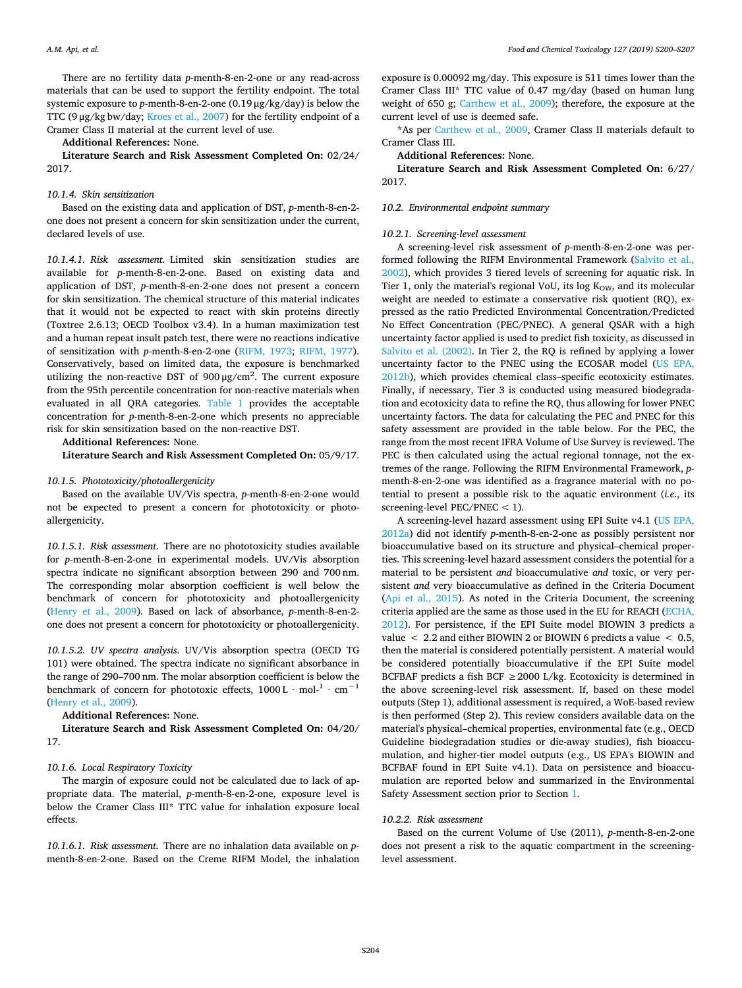There are no fertility data *p-*menth-8-en-2-one or any read-across materials that can be used to support the fertility endpoint. The total systemic exposure to *p-*menth-8-en-2-one (0.19 μg/kg/day) is below the TTC (9 μg/kg bw/day; [Kroes et al., 2007\)](#page-7-14) for the fertility endpoint of a Cramer Class II material at the current level of use.

## **Additional References:** None.

**Literature Search and Risk Assessment Completed On:** 02/24/ 2017.

#### *10.1.4. Skin sensitization*

Based on the existing data and application of DST, *p-*menth-8-en-2 one does not present a concern for skin sensitization under the current, declared levels of use.

*10.1.4.1. Risk assessment*. Limited skin sensitization studies are available for *p-*menth-8-en-2-one. Based on existing data and application of DST, *p-*menth-8-en-2-one does not present a concern for skin sensitization. The chemical structure of this material indicates that it would not be expected to react with skin proteins directly (Toxtree 2.6.13; OECD Toolbox v3.4). In a human maximization test and a human repeat insult patch test, there were no reactions indicative of sensitization with *p-*menth-8-en-2-one ([RIFM, 1973;](#page-7-15) [RIFM, 1977](#page-7-16)). Conservatively, based on limited data, the exposure is benchmarked utilizing the non-reactive DST of  $900 \,\mathrm{\mu g/cm^2}$ . The current exposure from the 95th percentile concentration for non-reactive materials when evaluated in all QRA categories. [Table 1](#page-3-2) provides the acceptable concentration for *p-*menth-8-en-2-one which presents no appreciable risk for skin sensitization based on the non-reactive DST.

**Additional References:** None.

**Literature Search and Risk Assessment Completed On:** 05/9/17.

## *10.1.5. Phototoxicity/photoallergenicity*

Based on the available UV/Vis spectra, *p-*menth-8-en-2-one would not be expected to present a concern for phototoxicity or photoallergenicity.

*10.1.5.1. Risk assessment*. There are no phototoxicity studies available for *p-*menth-8-en-2-one in experimental models. UV/Vis absorption spectra indicate no significant absorption between 290 and 700 nm. The corresponding molar absorption coefficient is well below the benchmark of concern for phototoxicity and photoallergenicity ([Henry et al., 2009\)](#page-7-17). Based on lack of absorbance, *p-*menth-8-en-2 one does not present a concern for phototoxicity or photoallergenicity.

*10.1.5.2. UV spectra analysis*. UV/Vis absorption spectra (OECD TG 101) were obtained. The spectra indicate no significant absorbance in the range of 290–700 nm. The molar absorption coefficient is below the benchmark of concern for phototoxic effects, 1000 L ∙ mol*-*<sup>1</sup> ∙ cm−1 ([Henry et al., 2009\)](#page-7-17).

**Additional References:** None.

**Literature Search and Risk Assessment Completed On:** 04/20/ 17.

## *10.1.6. Local Respiratory Toxicity*

The margin of exposure could not be calculated due to lack of appropriate data. The material, *p-*menth-8-en-2-one, exposure level is below the Cramer Class III\* TTC value for inhalation exposure local effects.

*10.1.6.1. Risk assessment*. There are no inhalation data available on *p*menth-8-en-2-one. Based on the Creme RIFM Model, the inhalation

exposure is 0.00092 mg/day. This exposure is 511 times lower than the Cramer Class III\* TTC value of 0.47 mg/day (based on human lung weight of 650 g; [Carthew et al., 2009\)](#page-7-18); therefore, the exposure at the current level of use is deemed safe.

\*As per [Carthew et al., 2009,](#page-7-18) Cramer Class II materials default to Cramer Class III.

**Additional References:** None.

**Literature Search and Risk Assessment Completed On:** 6/27/ 2017.

## *10.2. Environmental endpoint summary*

#### *10.2.1. Screening-level assessment*

A screening-level risk assessment of *p-*menth-8-en-2-one was performed following the RIFM Environmental Framework ([Salvito et al.,](#page-7-7) [2002\)](#page-7-7), which provides 3 tiered levels of screening for aquatic risk. In Tier 1, only the material's regional VoU, its log  $K_{OW}$ , and its molecular weight are needed to estimate a conservative risk quotient (RQ), expressed as the ratio Predicted Environmental Concentration/Predicted No Effect Concentration (PEC/PNEC). A general QSAR with a high uncertainty factor applied is used to predict fish toxicity, as discussed in [Salvito et al. \(2002\).](#page-7-7) In Tier 2, the RQ is refined by applying a lower uncertainty factor to the PNEC using the ECOSAR model ([US EPA,](#page-7-19) [2012b\)](#page-7-19), which provides chemical class–specific ecotoxicity estimates. Finally, if necessary, Tier 3 is conducted using measured biodegradation and ecotoxicity data to refine the RQ, thus allowing for lower PNEC uncertainty factors. The data for calculating the PEC and PNEC for this safety assessment are provided in the table below. For the PEC, the range from the most recent IFRA Volume of Use Survey is reviewed. The PEC is then calculated using the actual regional tonnage, not the extremes of the range. Following the RIFM Environmental Framework, *p*menth-8-en-2-one was identified as a fragrance material with no potential to present a possible risk to the aquatic environment (*i.e*., its screening-level PEC/PNEC < 1).

A screening-level hazard assessment using EPI Suite v4.1 [\(US EPA,](#page-7-6) [2012a\)](#page-7-6) did not identify *p-*menth-8-en-2-one as possibly persistent nor bioaccumulative based on its structure and physical–chemical properties. This screening-level hazard assessment considers the potential for a material to be persistent *and* bioaccumulative *and* toxic, or very persistent *and* very bioaccumulative as defined in the Criteria Document ([Api et al., 2015\)](#page-7-4). As noted in the Criteria Document, the screening criteria applied are the same as those used in the EU for REACH ([ECHA,](#page-7-20) [2012\)](#page-7-20). For persistence, if the EPI Suite model BIOWIN 3 predicts a value < 2.2 and either BIOWIN 2 or BIOWIN 6 predicts a value < 0.5, then the material is considered potentially persistent. A material would be considered potentially bioaccumulative if the EPI Suite model BCFBAF predicts a fish BCF  $\geq$  2000 L/kg. Ecotoxicity is determined in the above screening-level risk assessment. If, based on these model outputs (Step 1), additional assessment is required, a WoE-based review is then performed (Step 2). This review considers available data on the material's physical–chemical properties, environmental fate (e.g., OECD Guideline biodegradation studies or die-away studies), fish bioaccumulation, and higher-tier model outputs (e.g., US EPA's BIOWIN and BCFBAF found in EPI Suite v4.1). Data on persistence and bioaccumulation are reported below and summarized in the Environmental Safety Assessment section prior to Section [1.](#page-1-0)

## *10.2.2. Risk assessment*

Based on the current Volume of Use (2011), *p-*menth-8-en-2-one does not present a risk to the aquatic compartment in the screeninglevel assessment.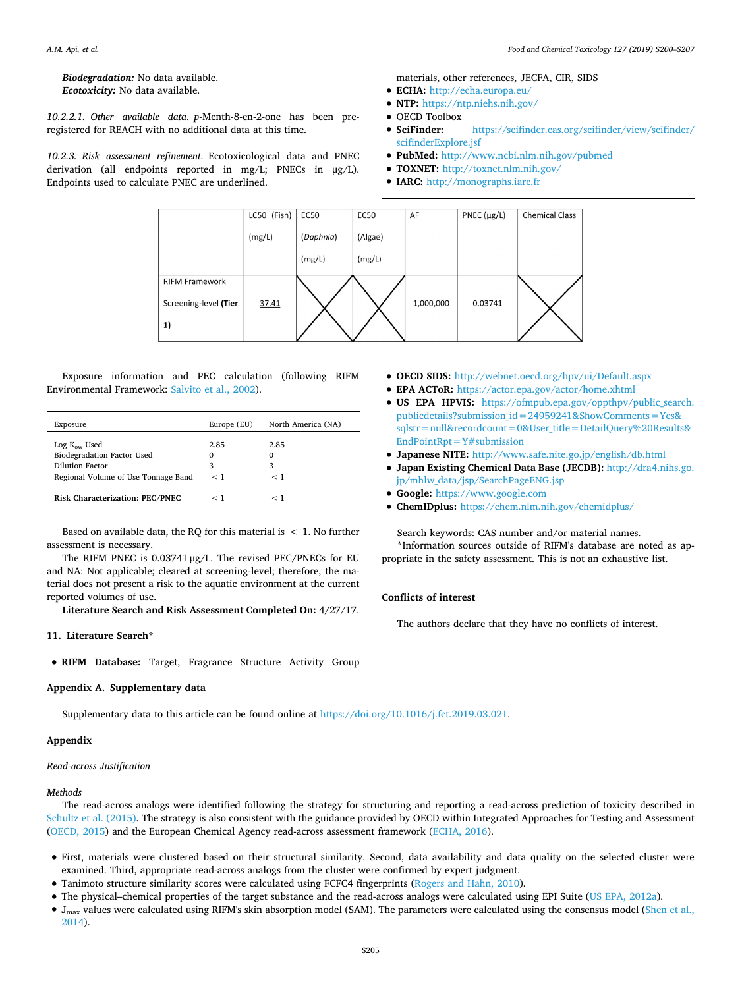*Biodegradation:* No data available. *Ecotoxicity:* No data available.

*10.2.2.1. Other available data*. *p-*Menth-8-en-2-one has been preregistered for REACH with no additional data at this time.

*10.2.3. Risk assessment refinement*. Ecotoxicological data and PNEC derivation (all endpoints reported in mg/L; PNECs in μg/L). Endpoints used to calculate PNEC are underlined.

materials, other references, JECFA, CIR, SIDS

- **ECHA:** <http://echa.europa.eu/>
- **NTP:** <https://ntp.niehs.nih.gov/>
- OECD Toolbox<br>• SciFinder:
- **SciFinder:** [https://scifinder.cas.org/scifinder/view/scifinder/](https://scifinder.cas.org/scifinder/view/scifinder/scifinderExplore.jsf) [scifinderExplore.jsf](https://scifinder.cas.org/scifinder/view/scifinder/scifinderExplore.jsf)
- **PubMed:** <http://www.ncbi.nlm.nih.gov/pubmed>
- **TOXNET:** <http://toxnet.nlm.nih.gov/>
- **IARC:** [http://monographs.iarc.fr](http://monographs.iarc.fr/)



Exposure information and PEC calculation (following RIFM Environmental Framework: [Salvito et al., 2002](#page-7-7)).

| Exposure                                                                                                  | Europe (EU)                  | North America (NA)    |
|-----------------------------------------------------------------------------------------------------------|------------------------------|-----------------------|
| $Log K_{ow}$ Used<br>Biodegradation Factor Used<br>Dilution Factor<br>Regional Volume of Use Tonnage Band | 2.85<br>$\Omega$<br>3<br>- 1 | 2.85<br>0<br>3<br>< 1 |
| <b>Risk Characterization: PEC/PNEC</b>                                                                    | - 1                          | - 1                   |

Based on available data, the RQ for this material is  $\leq 1$ . No further assessment is necessary.

The RIFM PNEC is 0.03741 μg/L. The revised PEC/PNECs for EU and NA: Not applicable; cleared at screening-level; therefore, the material does not present a risk to the aquatic environment at the current reported volumes of use.

**Literature Search and Risk Assessment Completed On:** 4/27/17.

## **11. Literature Search\***

• **RIFM Database:** Target, Fragrance Structure Activity Group

## **Appendix A. Supplementary data**

Supplementary data to this article can be found online at [https://doi.org/10.1016/j.fct.2019.03.021.](https://doi.org/10.1016/j.fct.2019.03.021)

## **Appendix**

#### *Read-across Justification*

## *Methods*

The read-across analogs were identified following the strategy for structuring and reporting a read-across prediction of toxicity described in [Schultz et al. \(2015\)](#page-7-21). The strategy is also consistent with the guidance provided by OECD within Integrated Approaches for Testing and Assessment ([OECD, 2015](#page-7-22)) and the European Chemical Agency read-across assessment framework ([ECHA, 2016](#page-7-23)).

- First, materials were clustered based on their structural similarity. Second, data availability and data quality on the selected cluster were examined. Third, appropriate read-across analogs from the cluster were confirmed by expert judgment.
- Tanimoto structure similarity scores were calculated using FCFC4 fingerprints ([Rogers and Hahn, 2010](#page-7-24)).
- The physical–chemical properties of the target substance and the read-across analogs were calculated using EPI Suite [\(US EPA, 2012a](#page-7-6)).
- J<sub>max</sub> values were calculated using RIFM's skin absorption model (SAM). The parameters were calculated using the consensus model [\(Shen et al.,](#page-7-25) [2014](#page-7-25)).
- **OECD SIDS:** <http://webnet.oecd.org/hpv/ui/Default.aspx>
- **EPA ACToR:** <https://actor.epa.gov/actor/home.xhtml>
- **US EPA HPVIS:** https://ofmpub.epa.gov/oppthpy/public\_search. [publicdetails?submission\\_id=24959241&ShowComments=Yes&](https://ofmpub.epa.gov/oppthpv/public_search.publicdetails?submission_id=24959241&ShowComments=Yes&sqlstr=null&recordcount=0&User_title=DetailQuery%20Results&EndPointRpt=Y) [sqlstr=null&recordcount=0&User\\_title=DetailQuery%20Results&](https://ofmpub.epa.gov/oppthpv/public_search.publicdetails?submission_id=24959241&ShowComments=Yes&sqlstr=null&recordcount=0&User_title=DetailQuery%20Results&EndPointRpt=Y)  $EndPointRpt = Y#submission$
- **Japanese NITE:** <http://www.safe.nite.go.jp/english/db.html>
- **Japan Existing Chemical Data Base (JECDB):** [http://dra4.nihs.go.](http://dra4.nihs.go.jp/mhlw_data/jsp/SearchPageENG.jsp) [jp/mhlw\\_data/jsp/SearchPageENG.jsp](http://dra4.nihs.go.jp/mhlw_data/jsp/SearchPageENG.jsp)
- **Google:** [https://www.google.com](https://www.google.com/webhp?tab=ww&ei=KMSoUpiQK-arsQS324GwBg&ved=0CBQQ1S4)
- **ChemIDplus:** <https://chem.nlm.nih.gov/chemidplus/>

Search keywords: CAS number and/or material names. \*Information sources outside of RIFM's database are noted as appropriate in the safety assessment. This is not an exhaustive list.

## **Conflicts of interest**

The authors declare that they have no conflicts of interest.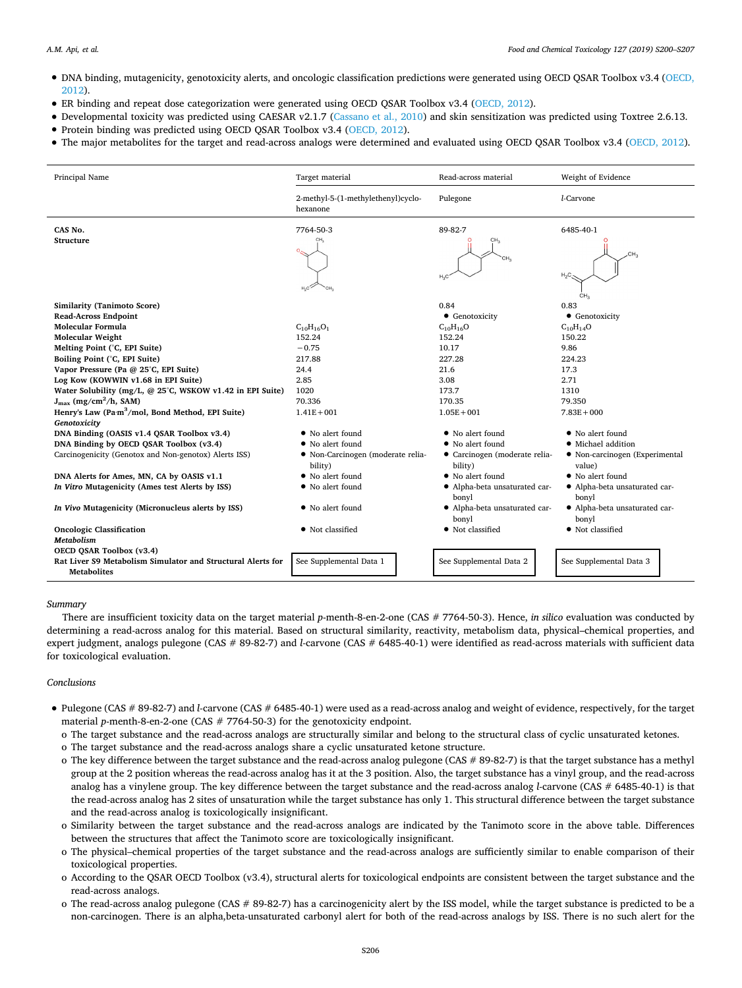- DNA binding, mutagenicity, genotoxicity alerts, and oncologic classification predictions were generated using OECD QSAR Toolbox v3.4 [\(OECD,](#page-7-26) [2012](#page-7-26)).
- ER binding and repeat dose categorization were generated using OECD QSAR Toolbox v3.4 [\(OECD, 2012](#page-7-26)).
- Developmental toxicity was predicted using CAESAR v2.1.7 ([Cassano et al., 2010\)](#page-7-27) and skin sensitization was predicted using Toxtree 2.6.13. • Protein binding was predicted using OECD QSAR Toolbox v3.4 [\(OECD, 2012\)](#page-7-26).
- 
- The major metabolites for the target and read-across analogs were determined and evaluated using OECD QSAR Toolbox v3.4 [\(OECD, 2012](#page-7-26)).

| Principal Name                                                                    | Target material                                | Read-across material                     | Weight of Evidence                         |
|-----------------------------------------------------------------------------------|------------------------------------------------|------------------------------------------|--------------------------------------------|
|                                                                                   | 2-methyl-5-(1-methylethenyl)cyclo-<br>hexanone | Pulegone                                 | l-Carvone                                  |
| CAS No.                                                                           | 7764-50-3                                      | 89-82-7                                  | 6485-40-1                                  |
| <b>Structure</b>                                                                  | CH <sub>2</sub><br>$H_2C^2$                    | CH <sub>3</sub><br>CH.                   | CH <sub>3</sub><br>H <sub>2</sub> C<br>CH. |
| <b>Similarity (Tanimoto Score)</b>                                                |                                                | 0.84                                     | 0.83                                       |
| <b>Read-Across Endpoint</b>                                                       |                                                | • Genotoxicity                           | • Genotoxicity                             |
| <b>Molecular Formula</b>                                                          | $C_{10}H_{16}O_1$                              | $C_{10}H_{16}O$                          | $C_{10}H_{14}O$                            |
| <b>Molecular Weight</b>                                                           | 152.24                                         | 152.24                                   | 150.22                                     |
| Melting Point (°C, EPI Suite)                                                     | $-0.75$                                        | 10.17                                    | 9.86                                       |
| Boiling Point (°C, EPI Suite)                                                     | 217.88                                         | 227.28                                   | 224.23                                     |
| Vapor Pressure (Pa @ 25°C, EPI Suite)                                             | 24.4                                           | 21.6                                     | 17.3                                       |
| Log Kow (KOWWIN v1.68 in EPI Suite)                                               | 2.85                                           | 3.08                                     | 2.71                                       |
| Water Solubility (mg/L, @ 25°C, WSKOW v1.42 in EPI Suite)                         | 1020                                           | 173.7                                    | 1310                                       |
| $J_{max}$ (mg/cm <sup>2</sup> /h, SAM)                                            | 70.336                                         | 170.35                                   | 79.350                                     |
| Henry's Law (Pam <sup>3</sup> /mol, Bond Method, EPI Suite)                       | $1.41E + 001$                                  | $1.05E + 001$                            | $7.83E + 000$                              |
| Genotoxicity                                                                      |                                                |                                          |                                            |
| DNA Binding (OASIS v1.4 QSAR Toolbox v3.4)                                        | • No alert found                               | • No alert found                         | • No alert found                           |
| DNA Binding by OECD QSAR Toolbox (v3.4)                                           | • No alert found                               | • No alert found                         | • Michael addition                         |
| Carcinogenicity (Genotox and Non-genotox) Alerts ISS)                             | · Non-Carcinogen (moderate relia-<br>bility)   | · Carcinogen (moderate relia-<br>bility) | • Non-carcinogen (Experimental<br>value)   |
| DNA Alerts for Ames, MN, CA by OASIS v1.1                                         | • No alert found                               | • No alert found                         | • No alert found                           |
| In Vitro Mutagenicity (Ames test Alerts by ISS)                                   | • No alert found                               | • Alpha-beta unsaturated car-<br>bonyl   | • Alpha-beta unsaturated car-<br>bonyl     |
| In Vivo Mutagenicity (Micronucleus alerts by ISS)                                 | • No alert found                               | · Alpha-beta unsaturated car-<br>bonyl   | • Alpha-beta unsaturated car-<br>bonyl     |
| <b>Oncologic Classification</b><br>Metabolism                                     | • Not classified                               | • Not classified                         | • Not classified                           |
| OECD OSAR Toolbox (v3.4)                                                          |                                                |                                          |                                            |
| Rat Liver S9 Metabolism Simulator and Structural Alerts for<br><b>Metabolites</b> | See Supplemental Data 1                        | See Supplemental Data 2                  | See Supplemental Data 3                    |

#### *Summary*

There are insufficient toxicity data on the target material *p*-menth-8-en-2-one (CAS # 7764-50-3). Hence, *in silico* evaluation was conducted by determining a read-across analog for this material. Based on structural similarity, reactivity, metabolism data, physical–chemical properties, and expert judgment, analogs pulegone (CAS # 89-82-7) and *l-*carvone (CAS # 6485-40-1) were identified as read-across materials with sufficient data for toxicological evaluation.

## *Conclusions*

- Pulegone (CAS # 89-82-7) and *l-*carvone (CAS # 6485-40-1) were used as a read-across analog and weight of evidence, respectively, for the target material *p*-menth-8-en-2-one (CAS # 7764-50-3) for the genotoxicity endpoint.
	- o The target substance and the read-across analogs are structurally similar and belong to the structural class of cyclic unsaturated ketones.
	- o The target substance and the read-across analogs share a cyclic unsaturated ketone structure.
	- o The key difference between the target substance and the read-across analog pulegone (CAS  $#$  89-82-7) is that the target substance has a methyl group at the 2 position whereas the read-across analog has it at the 3 position. Also, the target substance has a vinyl group, and the read-across analog has a vinylene group. The key difference between the target substance and the read-across analog *l-*carvone (CAS # 6485-40-1) is that the read-across analog has 2 sites of unsaturation while the target substance has only 1. This structural difference between the target substance and the read-across analog is toxicologically insignificant.
	- o Similarity between the target substance and the read-across analogs are indicated by the Tanimoto score in the above table. Differences between the structures that affect the Tanimoto score are toxicologically insignificant.
	- o The physical*–*chemical properties of the target substance and the read-across analogs are sufficiently similar to enable comparison of their toxicological properties.
	- o According to the QSAR OECD Toolbox (v3.4), structural alerts for toxicological endpoints are consistent between the target substance and the read-across analogs.
	- o The read-across analog pulegone (CAS # 89-82-7) has a carcinogenicity alert by the ISS model, while the target substance is predicted to be a non-carcinogen. There is an alpha,beta-unsaturated carbonyl alert for both of the read-across analogs by ISS. There is no such alert for the